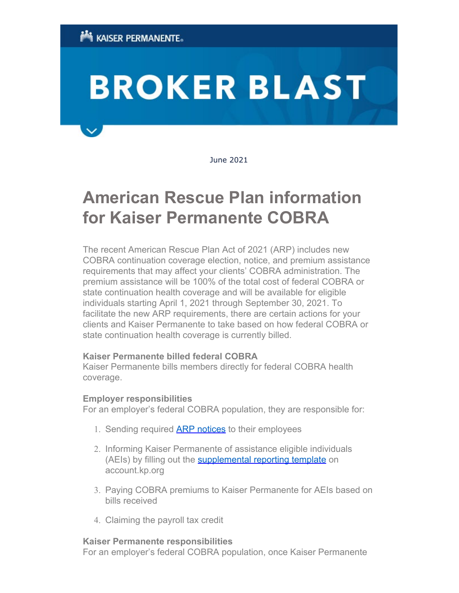# **BROKER BLAST**

June 2021

# **American Rescue Plan information for Kaiser Permanente COBRA**

The recent American Rescue Plan Act of 2021 (ARP) includes new COBRA continuation coverage election, notice, and premium assistance requirements that may affect your clients' COBRA administration. The premium assistance will be 100% of the total cost of federal COBRA or state continuation health coverage and will be available for eligible individuals starting April 1, 2021 through September 30, 2021. To facilitate the new ARP requirements, there are certain actions for your clients and Kaiser Permanente to take based on how federal COBRA or state continuation health coverage is currently billed.

# **Kaiser Permanente billed federal COBRA**

Kaiser Permanente bills members directly for federal COBRA health coverage.

#### **Employer responsibilities**

For an employer's federal COBRA population, they are responsible for:

- 1. Sending required **[ARP notices](https://urldefense.com/v3/__http:/click.sales-response.kaiserpermanente.org/?qs=6b87b16e723ad32323d1672130996b0150ad9abf56211ea2aa84f5d6068c80d8e4bcd19c56880f02d1014d8186248bebe40df911eddf8ccd__;!!KN4B6vg!JipGIuqfmm8K16cws4UOXx0IBKnehnOWy-6_SF2FwvTmgDrCrbqKHViJb-F_xQ$)** to their employees
- 2. Informing Kaiser Permanente of assistance eligible individuals (AEIs) by filling out the **[supplemental reporting template](https://urldefense.com/v3/__http:/click.sales-response.kaiserpermanente.org/?qs=6b87b16e723ad3235f3750ee95c55d99d48fed17ca01dd3a5a1afc59e36612354465a500582692aee527d83c2441e9d8fef761ecc30a7f9e__;!!KN4B6vg!JipGIuqfmm8K16cws4UOXx0IBKnehnOWy-6_SF2FwvTmgDrCrbqKHVhsL9WDkg$)** on account.kp.org
- 3. Paying COBRA premiums to Kaiser Permanente for AEIs based on bills received
- 4. Claiming the payroll tax credit

#### **Kaiser Permanente responsibilities**

For an employer's federal COBRA population, once Kaiser Permanente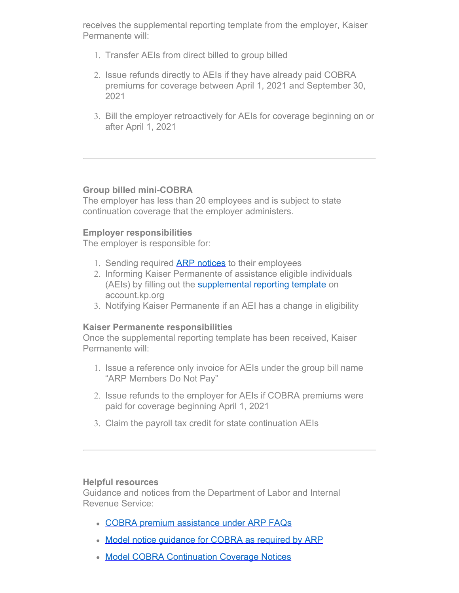receives the supplemental reporting template from the employer, Kaiser Permanente will:

- 1. Transfer AEIs from direct billed to group billed
- 2. Issue refunds directly to AEIs if they have already paid COBRA premiums for coverage between April 1, 2021 and September 30, 2021
- 3. Bill the employer retroactively for AEIs for coverage beginning on or after April 1, 2021

# **Group billed mini-COBRA**

The employer has less than 20 employees and is subject to state continuation coverage that the employer administers.

# **Employer responsibilities**

The employer is responsible for:

- 1. Sending required **ARP notices** to their employees
- 2. Informing Kaiser Permanente of assistance eligible individuals (AEIs) by filling out the **[supplemental reporting template](https://urldefense.com/v3/__http:/click.sales-response.kaiserpermanente.org/?qs=6b87b16e723ad3235f3750ee95c55d99d48fed17ca01dd3a5a1afc59e36612354465a500582692aee527d83c2441e9d8fef761ecc30a7f9e__;!!KN4B6vg!JipGIuqfmm8K16cws4UOXx0IBKnehnOWy-6_SF2FwvTmgDrCrbqKHVhsL9WDkg$)** on account.kp.org
- 3. Notifying Kaiser Permanente if an AEI has a change in eligibility

# **Kaiser Permanente responsibilities**

Once the supplemental reporting template has been received, Kaiser Permanente will:

- 1. Issue a reference only invoice for AEIs under the group bill name "ARP Members Do Not Pay"
- 2. Issue refunds to the employer for AEIs if COBRA premiums were paid for coverage beginning April 1, 2021
- 3. Claim the payroll tax credit for state continuation AEIs

# **Helpful resources**

Guidance and notices from the Department of Labor and Internal Revenue Service:

- [COBRA premium assistance under ARP FAQs](https://urldefense.com/v3/__http:/click.sales-response.kaiserpermanente.org/?qs=6b87b16e723ad323c550b557847e508203b515b9427a688d89392569fc43191204f5c5afaabdc6598f68859b0af23a4efaad7c8ea15b0911__;!!KN4B6vg!JipGIuqfmm8K16cws4UOXx0IBKnehnOWy-6_SF2FwvTmgDrCrbqKHViJfayC4Q$)
- [Model notice guidance for COBRA as required by ARP](https://urldefense.com/v3/__http:/click.sales-response.kaiserpermanente.org/?qs=6b87b16e723ad3232256f68f64e2e1083f0ddcb4d60add224137508254cb131e2dd1026d840b331ff29ff6f6c8063e670d2cc2585a750f69__;!!KN4B6vg!JipGIuqfmm8K16cws4UOXx0IBKnehnOWy-6_SF2FwvTmgDrCrbqKHVjRV1rfGQ$)
- **[Model COBRA Continuation Coverage Notices](https://urldefense.com/v3/__http:/click.sales-response.kaiserpermanente.org/?qs=6b87b16e723ad32323d1672130996b0150ad9abf56211ea2aa84f5d6068c80d8e4bcd19c56880f02d1014d8186248bebe40df911eddf8ccd__;!!KN4B6vg!JipGIuqfmm8K16cws4UOXx0IBKnehnOWy-6_SF2FwvTmgDrCrbqKHViJb-F_xQ$)**